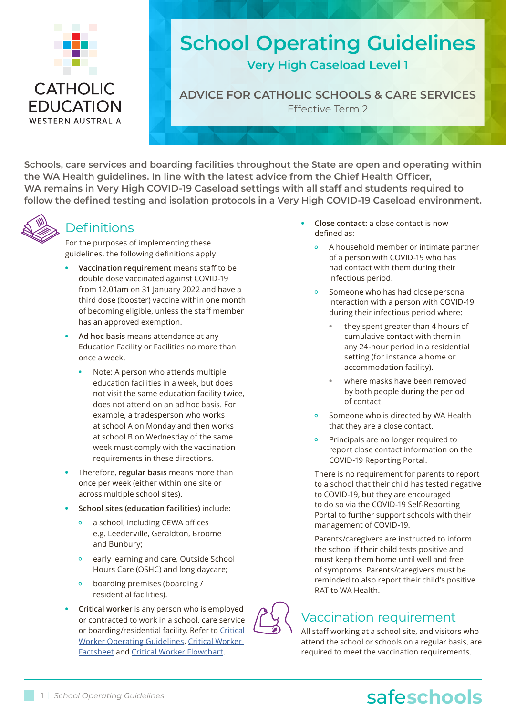

**WESTERN AUSTRALIA** 

# **School Operating Guidelines**

**Very High Caseload Level 1**

**ADVICE FOR CATHOLIC SCHOOLS & CARE SERVICES** Effective Term 2

**Schools, care services and boarding facilities throughout the State are open and operating within the WA Health guidelines. In line with the latest advice from the Chief Health Officer, WA remains in Very High COVID-19 Caseload settings with all staff and students required to follow the defined testing and isolation protocols in a Very High COVID-19 Caseload environment.**



# **Definitions**

For the purposes of implementing these guidelines, the following definitions apply:

- **• Vaccination requirement** means staff to be double dose vaccinated against COVID-19 from 12.01am on 31 January 2022 and have a third dose (booster) vaccine within one month of becoming eligible, unless the staff member has an approved exemption.
- **• Ad hoc basis** means attendance at any Education Facility or Facilities no more than once a week.
	- **•** Note: A person who attends multiple education facilities in a week, but does not visit the same education facility twice, does not attend on an ad hoc basis. For example, a tradesperson who works at school A on Monday and then works at school B on Wednesday of the same week must comply with the vaccination requirements in these directions.
- **•** Therefore, **regular basis** means more than once per week (either within one site or across multiple school sites).
- **• School sites (education facilities)** include:
	- **•** a school, including CEWA offices e.g. Leederville, Geraldton, Broome and Bunbury;
	- **•** early learning and care, Outside School Hours Care (OSHC) and long daycare;
	- **•** boarding premises (boarding / residential facilities).
- **• Critical worker** is any person who is employed or contracted to work in a school, care service or boarding/residential facility. Refer to Critical [Worker Operating Guidelines](https://cewaedu.sharepoint.com/:b:/r/sites/8445-Principals/Shared%20Documents/Covid%2019%20Updates_Documentation/COVID-19%20Critical%20Worker%20resources/2022.03.18_COVID-19%20Critical%20Worker%20Guidelines.pdf?csf=1&web=1&e=VT4mEf), [Critical Worker](https://cewaedu.sharepoint.com/:b:/r/sites/8445-Principals/Shared%20Documents/Covid%2019%20Updates_Documentation/COVID-19%20Critical%20Worker%20resources/2022.03.18_COVID-19%20Critical%20Worker%20Factsheet.pdf?csf=1&web=1&e=ngAYTThttp://)  [Factsheet](https://cewaedu.sharepoint.com/:b:/r/sites/8445-Principals/Shared%20Documents/Covid%2019%20Updates_Documentation/COVID-19%20Critical%20Worker%20resources/2022.03.18_COVID-19%20Critical%20Worker%20Factsheet.pdf?csf=1&web=1&e=ngAYTThttp://) and [Critical Worker Flowchart.](https://cewaedu.sharepoint.com/:b:/r/sites/8445-Principals/Shared%20Documents/Covid%2019%20Updates_Documentation/COVID-19%20Critical%20Worker%20resources/2022.03.18_COVID-19%20Critical%20Worker%20Flowchart.pdf?csf=1&web=1&e=RcKcej)
- **• Close contact:** a close contact is now defined as:
	- **•** A household member or intimate partner of a person with COVID-19 who has had contact with them during their infectious period.
	- **•** Someone who has had close personal interaction with a person with COVID-19 during their infectious period where:
		- **•** they spent greater than 4 hours of cumulative contact with them in any 24-hour period in a residential setting (for instance a home or accommodation facility).
		- **•** where masks have been removed by both people during the period of contact.
	- **•** Someone who is directed by WA Health that they are a close contact.
	- **•** Principals are no longer required to report close contact information on the COVID-19 Reporting Portal.

There is no requirement for parents to report to a school that their child has tested negative to COVID-19, but they are encouraged to do so via the COVID-19 Self-Reporting Portal to further support schools with their management of COVID-19.

Parents/caregivers are instructed to inform the school if their child tests positive and must keep them home until well and free of symptoms. Parents/caregivers must be reminded to also report their child's positive RAT to WA Health.

# Vaccination requirement

All staff working at a school site, and visitors who attend the school or schools on a regular basis, are required to meet the vaccination requirements.

# 1 | *School Operating Guidelines* safe**hands** safe**schools**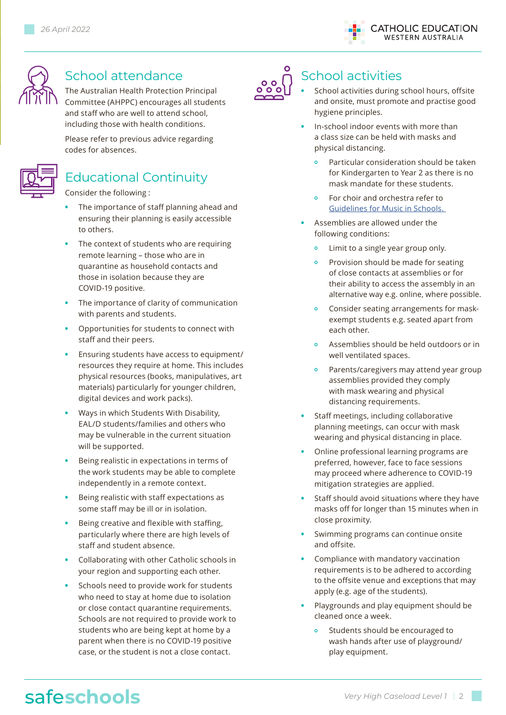



# School attendance

The Australian Health Protection Principal Committee (AHPPC) encourages all students and staff who are well to attend school, including those with health conditions.

Please refer to previous advice regarding codes for absences.



## Educational Continuity

Consider the following :

- **•** The importance of staff planning ahead and ensuring their planning is easily accessible to others.
- **•** The context of students who are requiring remote learning – those who are in quarantine as household contacts and those in isolation because they are COVID-19 positive.
- **•** The importance of clarity of communication with parents and students.
- **•** Opportunities for students to connect with staff and their peers.
- **•** Ensuring students have access to equipment/ resources they require at home. This includes physical resources (books, manipulatives, art materials) particularly for younger children, digital devices and work packs).
- **•** Ways in which Students With Disability, EAL/D students/families and others who may be vulnerable in the current situation will be supported.
- **•** Being realistic in expectations in terms of the work students may be able to complete independently in a remote context.
- **•** Being realistic with staff expectations as some staff may be ill or in isolation.
- **•** Being creative and flexible with staffing, particularly where there are high levels of staff and student absence.
- **•** Collaborating with other Catholic schools in your region and supporting each other.
- **•** Schools need to provide work for students who need to stay at home due to isolation or close contact quarantine requirements. Schools are not required to provide work to students who are being kept at home by a parent when there is no COVID-19 positive case, or the student is not a close contact.



# School activities

- **•** School activities during school hours, offsite and onsite, must promote and practise good hygiene principles.
- **•** In-school indoor events with more than a class size can be held with masks and physical distancing.
	- **•** Particular consideration should be taken for Kindergarten to Year 2 as there is no mask mandate for these students.
	- **•** For choir and orchestra refer to [Guidelines for Music in Schools.](https://cewaedu.sharepoint.com/:b:/r/sites/8445-Principals/Shared%20Documents/Covid%2019%20Updates_Documentation/Very%20High%20Caseload%20-%202022/2022.03.30_COVID-19%20Music%20Guidelines%20Term%202.pdf?csf=1&%3Bweb=1&%3Be=R5bM9u&isSPOFile=1)
- **•** Assemblies are allowed under the following conditions:
	- **•** Limit to a single year group only.
	- **•** Provision should be made for seating of close contacts at assemblies or for their ability to access the assembly in an alternative way e.g. online, where possible.
	- **•** Consider seating arrangements for maskexempt students e.g. seated apart from each other.
	- **•** Assemblies should be held outdoors or in well ventilated spaces.
	- **•** Parents/caregivers may attend year group assemblies provided they comply with mask wearing and physical distancing requirements.
- **•** Staff meetings, including collaborative planning meetings, can occur with mask wearing and physical distancing in place.
- **•** Online professional learning programs are preferred, however, face to face sessions may proceed where adherence to COVID-19 mitigation strategies are applied.
- **•** Staff should avoid situations where they have masks off for longer than 15 minutes when in close proximity.
- **•** Swimming programs can continue onsite and offsite.
- **•** Compliance with mandatory vaccination requirements is to be adhered to according to the offsite venue and exceptions that may apply (e.g. age of the students).
- **•** Playgrounds and play equipment should be cleaned once a week.
	- **•** Students should be encouraged to wash hands after use of playground/ play equipment.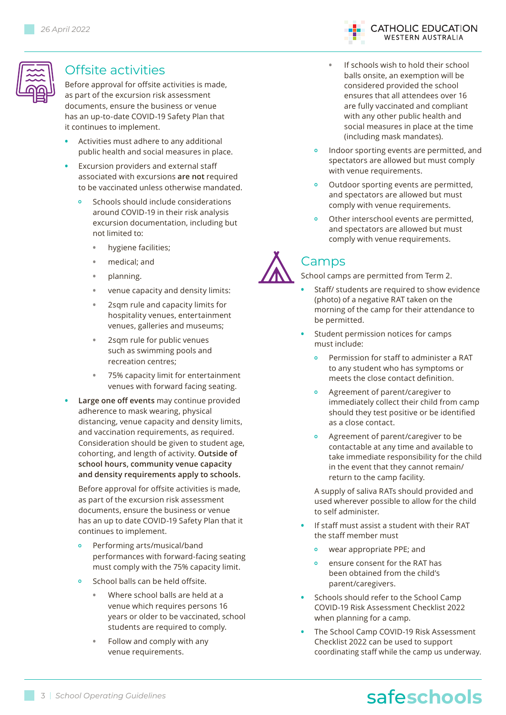

### Offsite activities

Before approval for offsite activities is made, as part of the excursion risk assessment documents, ensure the business or venue has an up-to-date COVID-19 Safety Plan that it continues to implement.

- **•** Activities must adhere to any additional public health and social measures in place.
- **•** Excursion providers and external staff associated with excursions **are not** required to be vaccinated unless otherwise mandated.
	- **•** Schools should include considerations around COVID-19 in their risk analysis excursion documentation, including but not limited to:
		- **•** hygiene facilities;
		- **•** medical; and
		- **•** planning.
		- **•** venue capacity and density limits:
		- **•** 2sqm rule and capacity limits for hospitality venues, entertainment venues, galleries and museums;
		- **•** 2sqm rule for public venues such as swimming pools and recreation centres;
		- **•** 75% capacity limit for entertainment venues with forward facing seating.
- **• Large one off events** may continue provided adherence to mask wearing, physical distancing, venue capacity and density limits, and vaccination requirements, as required. Consideration should be given to student age, cohorting, and length of activity. **Outside of school hours, community venue capacity and density requirements apply to schools.**

Before approval for offsite activities is made, as part of the excursion risk assessment documents, ensure the business or venue has an up to date COVID-19 Safety Plan that it continues to implement.

- **•** Performing arts/musical/band performances with forward-facing seating must comply with the 75% capacity limit.
- **•** School balls can be held offsite.
	- **•** Where school balls are held at a venue which requires persons 16 years or older to be vaccinated, school students are required to comply.
	- **•** Follow and comply with any venue requirements.

**ATHOLIC EDUCATION WESTERN AUSTRALIA** 

- **•** If schools wish to hold their school balls onsite, an exemption will be considered provided the school ensures that all attendees over 16 are fully vaccinated and compliant with any other public health and social measures in place at the time (including mask mandates).
- **•** Indoor sporting events are permitted, and spectators are allowed but must comply with venue requirements.
- **•** Outdoor sporting events are permitted, and spectators are allowed but must comply with venue requirements.
- **•** Other interschool events are permitted, and spectators are allowed but must comply with venue requirements.

# Camps

School camps are permitted from Term 2.

- **•** Staff/ students are required to show evidence (photo) of a negative RAT taken on the morning of the camp for their attendance to be permitted.
- **•** Student permission notices for camps must include:
	- **•** Permission for staff to administer a RAT to any student who has symptoms or meets the close contact definition.
	- **•** Agreement of parent/caregiver to immediately collect their child from camp should they test positive or be identified as a close contact.
	- **•** Agreement of parent/caregiver to be contactable at any time and available to take immediate responsibility for the child in the event that they cannot remain/ return to the camp facility.

A supply of saliva RATs should provided and used wherever possible to allow for the child to self administer.

- **•** If staff must assist a student with their RAT the staff member must
	- **•** wear appropriate PPE; and
	- **•** ensure consent for the RAT has been obtained from the child's parent/caregivers.
- **•** Schools should refer to the School Camp COVID-19 Risk Assessment Checklist 2022 when planning for a camp.
- **•** The School Camp COVID-19 Risk Assessment Checklist 2022 can be used to support coordinating staff while the camp us underway.

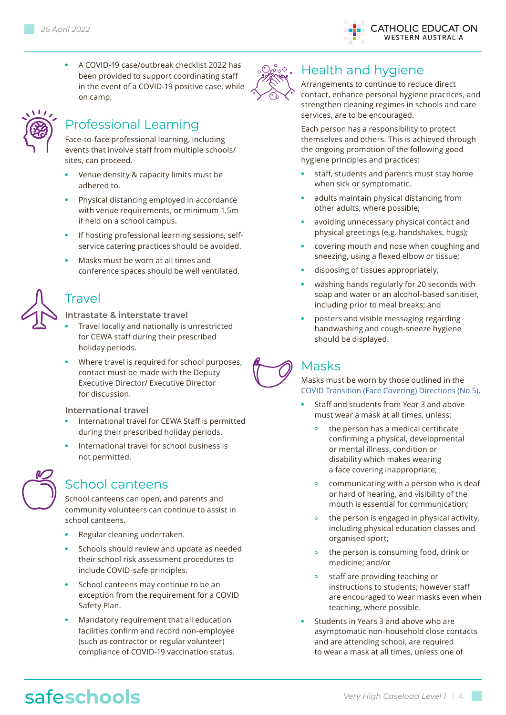on camp.





## Professional Learning

Face-to-face professional learning, including events that involve staff from multiple schools/ sites, can proceed.

**•** A COVID-19 case/outbreak checklist 2022 has been provided to support coordinating staff in the event of a COVID-19 positive case, while

- **•** Venue density & capacity limits must be adhered to.
- **•** Physical distancing employed in accordance with venue requirements, or minimum 1.5m if held on a school campus.
- **•** If hosting professional learning sessions, selfservice catering practices should be avoided.
- **•** Masks must be worn at all times and conference spaces should be well ventilated.

## Travel

#### **Intrastate & interstate travel**

- **•** Travel locally and nationally is unrestricted for CEWA staff during their prescribed holiday periods.
- **•** Where travel is required for school purposes, contact must be made with the Deputy Executive Director/ Executive Director for discussion.

#### **International travel**

- **•** International travel for CEWA Staff is permitted during their prescribed holiday periods.
- **•** International travel for school business is not permitted.



## School canteens

School canteens can open, and parents and community volunteers can continue to assist in school canteens.

- **•** Regular cleaning undertaken.
- **•** Schools should review and update as needed their school risk assessment procedures to include COVID-safe principles.
- **•** School canteens may continue to be an exception from the requirement for a COVID Safety Plan.
- **•** Mandatory requirement that all education facilities confirm and record non-employee (such as contractor or regular volunteer) compliance of COVID-19 vaccination status.



## ∘ *O e* <sup>2</sup> ° · Health and hygiene

Arrangements to continue to reduce direct contact, enhance personal hygiene practices, and strengthen cleaning regimes in schools and care services, are to be encouraged.

Each person has a responsibility to protect themselves and others. This is achieved through the ongoing promotion of the following good hygiene principles and practices:

- **•** staff, students and parents must stay home when sick or symptomatic.
- **•** adults maintain physical distancing from other adults, where possible;
- **•** avoiding unnecessary physical contact and physical greetings (e.g. handshakes, hugs);
- **•** covering mouth and nose when coughing and sneezing, using a flexed elbow or tissue;
- **•** disposing of tissues appropriately;
- **•** washing hands regularly for 20 seconds with soap and water or an alcohol-based sanitiser, including prior to meal breaks; and
- **•** posters and visible messaging regarding handwashing and cough-sneeze hygiene should be displayed.

# Masks

#### Masks must be worn by those outlined in the [COVID Transition \(Face Covering\) Directions \(No 5\)](https://www.wa.gov.au/system/files/2022-03/COVID-Transition-Face-Covering-Directions-No5.pdf).

- **•** Staff and students from Year 3 and above must wear a mask at all times, unless:
	- **•** the person has a medical certificate confirming a physical, developmental or mental illness, condition or disability which makes wearing a face covering inappropriate;
	- **•** communicating with a person who is deaf or hard of hearing, and visibility of the mouth is essential for communication;
	- **•** the person is engaged in physical activity, including physical education classes and organised sport;
	- **•** the person is consuming food, drink or medicine; and/or
	- **•** staff are providing teaching or instructions to students; however staff are encouraged to wear masks even when teaching, where possible.
- **•** Students in Years 3 and above who are asymptomatic non-household close contacts and are attending school, are required to wear a mask at all times, unless one of

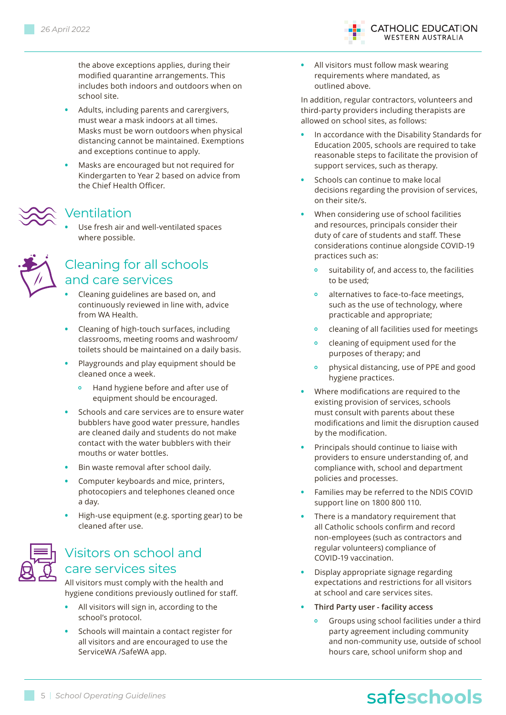the above exceptions applies, during their modified quarantine arrangements. This includes both indoors and outdoors when on school site.

- **•** Adults, including parents and carergivers, must wear a mask indoors at all times. Masks must be worn outdoors when physical distancing cannot be maintained. Exemptions and exceptions continue to apply.
- **•** Masks are encouraged but not required for Kindergarten to Year 2 based on advice from the Chief Health Officer.

#### Ventilation

**•** Use fresh air and well-ventilated spaces where possible.



## Cleaning for all schools and care services

- **•** Cleaning guidelines are based on, and continuously reviewed in line with, advice from WA Health.
- **•** Cleaning of high-touch surfaces, including classrooms, meeting rooms and washroom/ toilets should be maintained on a daily basis.
- **•** Playgrounds and play equipment should be cleaned once a week.
	- **•** Hand hygiene before and after use of equipment should be encouraged.
- **•** Schools and care services are to ensure water bubblers have good water pressure, handles are cleaned daily and students do not make contact with the water bubblers with their mouths or water bottles.
- **•** Bin waste removal after school daily.
- **•** Computer keyboards and mice, printers, photocopiers and telephones cleaned once a day.
- **•** High-use equipment (e.g. sporting gear) to be cleaned after use.



## Visitors on school and care services sites

All visitors must comply with the health and hygiene conditions previously outlined for staff.

- **•** All visitors will sign in, according to the school's protocol.
- **•** Schools will maintain a contact register for all visitors and are encouraged to use the ServiceWA /SafeWA app.

**•** All visitors must follow mask wearing requirements where mandated, as outlined above.

In addition, regular contractors, volunteers and third-party providers including therapists are allowed on school sites, as follows:

**CATHOLIC EDUCATION WESTERN AUSTRALIA** 

- **•** In accordance with the Disability Standards for Education 2005, schools are required to take reasonable steps to facilitate the provision of support services, such as therapy.
- **•** Schools can continue to make local decisions regarding the provision of services, on their site/s.
- **•** When considering use of school facilities and resources, principals consider their duty of care of students and staff. These considerations continue alongside COVID-19 practices such as:
	- **•** suitability of, and access to, the facilities to be used;
	- **•** alternatives to face-to-face meetings, such as the use of technology, where practicable and appropriate;
	- **•** cleaning of all facilities used for meetings
	- **•** cleaning of equipment used for the purposes of therapy; and
	- **•** physical distancing, use of PPE and good hygiene practices.
- **•** Where modifications are required to the existing provision of services, schools must consult with parents about these modifications and limit the disruption caused by the modification.
- **•** Principals should continue to liaise with providers to ensure understanding of, and compliance with, school and department policies and processes.
- **•** Families may be referred to the NDIS COVID support line on 1800 800 110.
- **•** There is a mandatory requirement that all Catholic schools confirm and record non-employees (such as contractors and regular volunteers) compliance of COVID-19 vaccination.
- **•** Display appropriate signage regarding expectations and restrictions for all visitors at school and care services sites.
- **• Third Party user facility access** 
	- **•** Groups using school facilities under a third party agreement including community and non-community use, outside of school hours care, school uniform shop and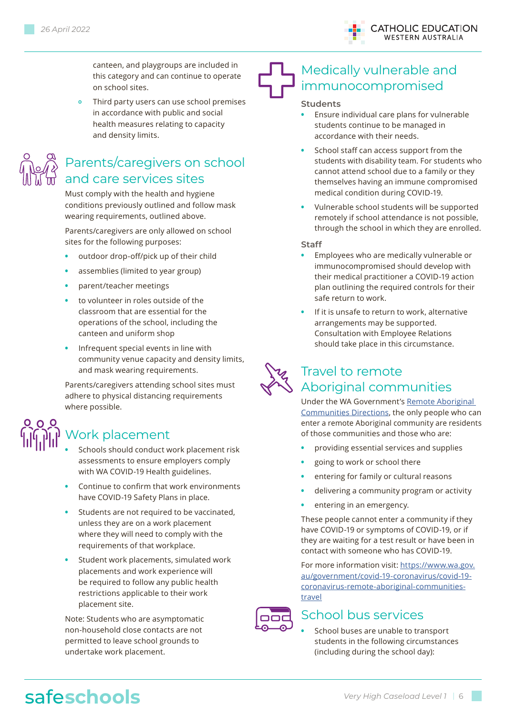

canteen, and playgroups are included in this category and can continue to operate on school sites.

**•** Third party users can use school premises in accordance with public and social health measures relating to capacity and density limits.



# Parents/caregivers on school and care services sites

Must comply with the health and hygiene conditions previously outlined and follow mask wearing requirements, outlined above.

Parents/caregivers are only allowed on school sites for the following purposes:

- **•** outdoor drop-off/pick up of their child
- **•** assemblies (limited to year group)
- **•** parent/teacher meetings
- **•** to volunteer in roles outside of the classroom that are essential for the operations of the school, including the canteen and uniform shop
- **•** Infrequent special events in line with community venue capacity and density limits, and mask wearing requirements.

Parents/caregivers attending school sites must adhere to physical distancing requirements where possible.

# Work placement

- **•** Schools should conduct work placement risk assessments to ensure employers comply with WA COVID-19 Health guidelines.
- **•** Continue to confirm that work environments have COVID-19 Safety Plans in place.
- **•** Students are not required to be vaccinated, unless they are on a work placement where they will need to comply with the requirements of that workplace.
- **•** Student work placements, simulated work placements and work experience will be required to follow any public health restrictions applicable to their work placement site.

Note: Students who are asymptomatic non-household close contacts are not permitted to leave school grounds to undertake work placement.

# Medically vulnerable and immunocompromised

#### **Students**

- **•** Ensure individual care plans for vulnerable students continue to be managed in accordance with their needs.
- **•** School staff can access support from the students with disability team. For students who cannot attend school due to a family or they themselves having an immune compromised medical condition during COVID-19.
- **•** Vulnerable school students will be supported remotely if school attendance is not possible, through the school in which they are enrolled.

#### **Staff**

- **•** Employees who are medically vulnerable or immunocompromised should develop with their medical practitioner a COVID-19 action plan outlining the required controls for their safe return to work.
- **•** If it is unsafe to return to work, alternative arrangements may be supported. Consultation with Employee Relations should take place in this circumstance.



# Travel to remote Aboriginal communities

Under the WA Government's [Remote Aboriginal](https://www.wa.gov.au/government/publications/remote-aboriginal-communities-directions-no-3)  [Communities Directions,](https://www.wa.gov.au/government/publications/remote-aboriginal-communities-directions-no-3) the only people who can enter a remote Aboriginal community are residents of those communities and those who are:

- **•** providing essential services and supplies
- **•** going to work or school there
- **•** entering for family or cultural reasons
- **•** delivering a community program or activity
- **•** entering in an emergency.

These people cannot enter a community if they have COVID-19 or symptoms of COVID-19, or if they are waiting for a test result or have been in contact with someone who has COVID-19.

For more information visit: [https://www.wa.gov.](https://www.wa.gov.au/government/covid-19-coronavirus/covid-19-coronavirus-remote-aboriginal-communities-travel) [au/government/covid-19-coronavirus/covid-19](https://www.wa.gov.au/government/covid-19-coronavirus/covid-19-coronavirus-remote-aboriginal-communities-travel) [coronavirus-remote-aboriginal-communities](https://www.wa.gov.au/government/covid-19-coronavirus/covid-19-coronavirus-remote-aboriginal-communities-travel)[travel](https://www.wa.gov.au/government/covid-19-coronavirus/covid-19-coronavirus-remote-aboriginal-communities-travel)



#### School bus services

**•** School buses are unable to transport students in the following circumstances (including during the school day):